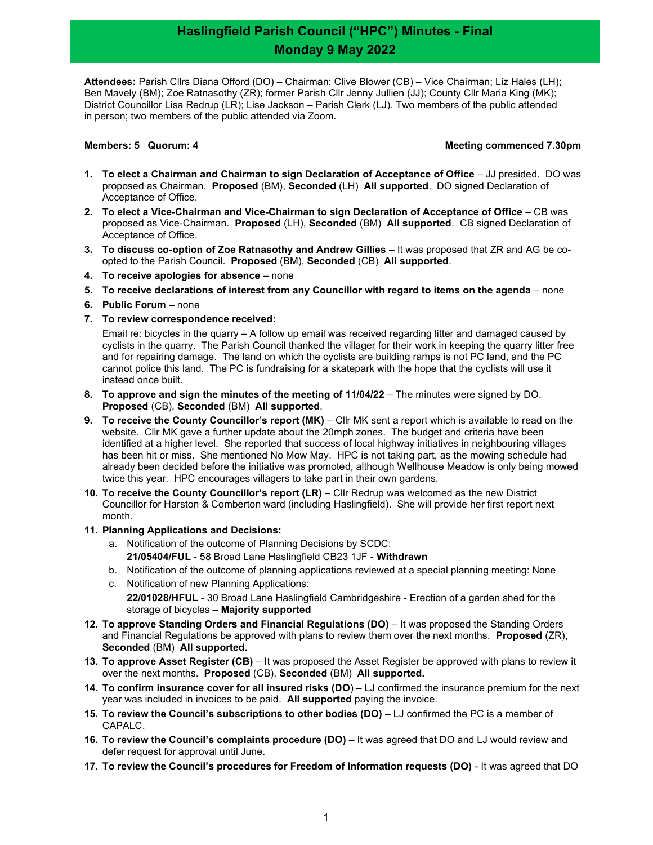## Haslingfield Parish Council ("HPC") Minutes - Final Monday 9 May 2022

Attendees: Parish Cllrs Diana Offord (DO) – Chairman; Clive Blower (CB) – Vice Chairman; Liz Hales (LH); Ben Mavely (BM); Zoe Ratnasothy (ZR); former Parish Cllr Jenny Jullien (JJ); County Cllr Maria King (MK); District Councillor Lisa Redrup (LR); Lise Jackson – Parish Clerk (LJ). Two members of the public attended in person; two members of the public attended via Zoom.

#### Members: 5 Quorum: 4 Meeting commenced 7.30pm

- 1. To elect a Chairman and Chairman to sign Declaration of Acceptance of Office JJ presided. DO was proposed as Chairman. Proposed (BM), Seconded (LH) All supported. DO signed Declaration of Acceptance of Office.
- 2. To elect a Vice-Chairman and Vice-Chairman to sign Declaration of Acceptance of Office CB was proposed as Vice-Chairman. Proposed (LH), Seconded (BM) All supported. CB signed Declaration of Acceptance of Office.
- 3. To discuss co-option of Zoe Ratnasothy and Andrew Gillies It was proposed that ZR and AG be coopted to the Parish Council. Proposed (BM), Seconded (CB) All supported.
- 4. To receive apologies for absence none
- 5. To receive declarations of interest from any Councillor with regard to items on the agenda none
- 6. Public Forum none
- 7. To review correspondence received:

Email re: bicycles in the quarry – A follow up email was received regarding litter and damaged caused by cyclists in the quarry. The Parish Council thanked the villager for their work in keeping the quarry litter free and for repairing damage. The land on which the cyclists are building ramps is not PC land, and the PC cannot police this land. The PC is fundraising for a skatepark with the hope that the cyclists will use it instead once built.

- 8. To approve and sign the minutes of the meeting of 11/04/22 The minutes were signed by DO. Proposed (CB), Seconded (BM) All supported.
- 9. To receive the County Councillor's report (MK) Cllr MK sent a report which is available to read on the website. Cllr MK gave a further update about the 20mph zones. The budget and criteria have been identified at a higher level. She reported that success of local highway initiatives in neighbouring villages has been hit or miss. She mentioned No Mow May. HPC is not taking part, as the mowing schedule had already been decided before the initiative was promoted, although Wellhouse Meadow is only being mowed twice this year. HPC encourages villagers to take part in their own gardens.
- 10. To receive the County Councillor's report (LR) Cllr Redrup was welcomed as the new District Councillor for Harston & Comberton ward (including Haslingfield). She will provide her first report next month.
- 11. Planning Applications and Decisions:
	- a. Notification of the outcome of Planning Decisions by SCDC: 21/05404/FUL - 58 Broad Lane Haslingfield CB23 1JF - Withdrawn
	- b. Notification of the outcome of planning applications reviewed at a special planning meeting: None
	- c. Notification of new Planning Applications: 22/01028/HFUL - 30 Broad Lane Haslingfield Cambridgeshire - Erection of a garden shed for the storage of bicycles – Majority supported
- 12. To approve Standing Orders and Financial Regulations (DO) It was proposed the Standing Orders and Financial Regulations be approved with plans to review them over the next months. Proposed (ZR), Seconded (BM) All supported.
- 13. To approve Asset Register (CB) It was proposed the Asset Register be approved with plans to review it over the next months. Proposed (CB), Seconded (BM) All supported.
- 14. To confirm insurance cover for all insured risks (DO) LJ confirmed the insurance premium for the next year was included in invoices to be paid. All supported paying the invoice.
- 15. To review the Council's subscriptions to other bodies (DO) LJ confirmed the PC is a member of CAPALC.
- 16. To review the Council's complaints procedure (DO) It was agreed that DO and LJ would review and defer request for approval until June.
- 17. To review the Council's procedures for Freedom of Information requests (DO) It was agreed that DO